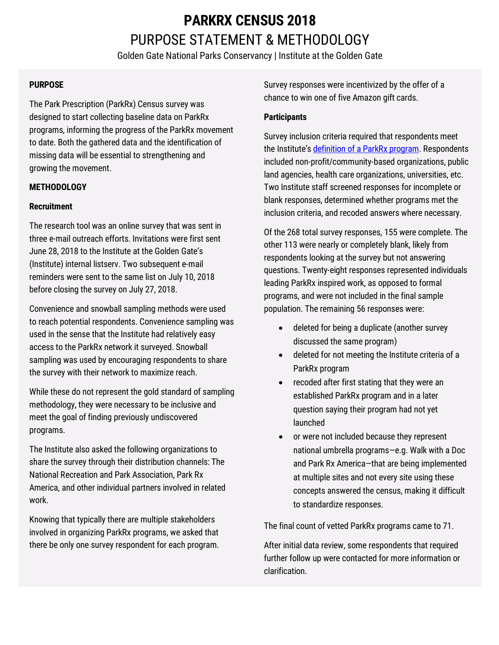# **PARKRX CENSUS 2018**  PURPOSE STATEMENT & METHODOLOGY

Golden Gate National Parks Conservancy | Institute at the Golden Gate

### **PURPOSE**

The Park Prescription (ParkRx) Census survey was designed to start collecting baseline data on ParkRx programs, informing the progress of the ParkRx movement to date. Both the gathered data and the identification of missing data will be essential to strengthening and growing the movement.

### **METHODOLOGY**

### **Recruitment**

The research tool was an online survey that was sent in three e-mail outreach efforts. Invitations were first sent June 28, 2018 to the Institute at the Golden Gate's (Institute) internal listserv. Two subsequent e-mail reminders were sent to the same list on July 10, 2018 before closing the survey on July 27, 2018.

Convenience and snowball sampling methods were used to reach potential respondents. Convenience sampling was used in the sense that the Institute had relatively easy access to the ParkRx network it surveyed. Snowball sampling was used by encouraging respondents to share the survey with their network to maximize reach.

While these do not represent the gold standard of sampling methodology, they were necessary to be inclusive and meet the goal of finding previously undiscovered programs.

The Institute also asked the following organizations to share the survey through their distribution channels: The National Recreation and Park Association, Park Rx America, and other individual partners involved in related work.

Knowing that typically there are multiple stakeholders involved in organizing ParkRx programs, we asked that there be only one survey respondent for each program. Survey responses were incentivized by the offer of a chance to win one of five Amazon gift cards.

### **Participants**

Survey inclusion criteria required that respondents meet the Institute'[s definition of a ParkRx program.](https://instituteatgoldengate.org/projects/park-prescriptions) Respondents included non-profit/community-based organizations, public land agencies, health care organizations, universities, etc. Two Institute staff screened responses for incomplete or blank responses, determined whether programs met the inclusion criteria, and recoded answers where necessary.

Of the 268 total survey responses, 155 were complete. The other 113 were nearly or completely blank, likely from respondents looking at the survey but not answering questions. Twenty-eight responses represented individuals leading ParkRx inspired work, as opposed to formal programs, and were not included in the final sample population. The remaining 56 responses were:

- deleted for being a duplicate (another survey discussed the same program)
- deleted for not meeting the Institute criteria of a ParkRx program
- recoded after first stating that they were an established ParkRx program and in a later question saying their program had not yet launched
- or were not included because they represent national umbrella programs—e.g. Walk with a Doc and Park Rx America—that are being implemented at multiple sites and not every site using these concepts answered the census, making it difficult to standardize responses.

The final count of vetted ParkRx programs came to 71.

After initial data review, some respondents that required further follow up were contacted for more information or clarification.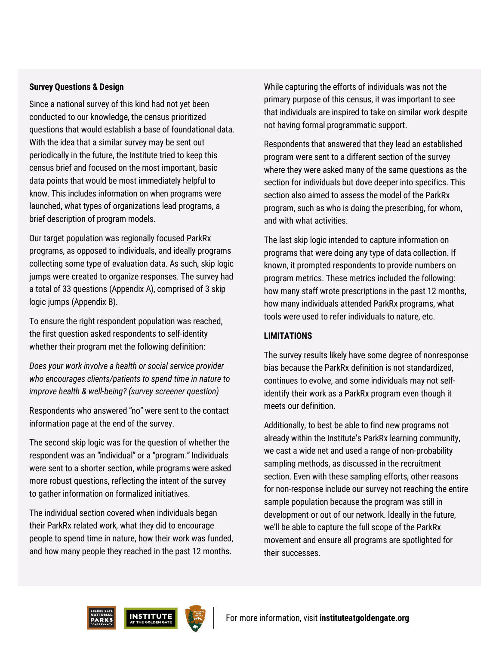#### **Survey Questions & Design**

Since a national survey of this kind had not yet been conducted to our knowledge, the census prioritized questions that would establish a base of foundational data. With the idea that a similar survey may be sent out periodically in the future, the Institute tried to keep this census brief and focused on the most important, basic data points that would be most immediately helpful to know. This includes information on when programs were launched, what types of organizations lead programs, a brief description of program models.

Our target population was regionally focused ParkRx programs, as opposed to individuals, and ideally programs collecting some type of evaluation data. As such, skip logic jumps were created to organize responses. The survey had a total of 33 questions (Appendix A), comprised of 3 skip logic jumps (Appendix B).

To ensure the right respondent population was reached, the first question asked respondents to self-identity whether their program met the following definition:

*Does your work involve a health or social service provider who encourages clients/patients to spend time in nature to improve health & well-being? (survey screener question)*

Respondents who answered "no" were sent to the contact information page at the end of the survey.

The second skip logic was for the question of whether the respondent was an "individual" or a "program." Individuals were sent to a shorter section, while programs were asked more robust questions, reflecting the intent of the survey to gather information on formalized initiatives.

The individual section covered when individuals began their ParkRx related work, what they did to encourage people to spend time in nature, how their work was funded, and how many people they reached in the past 12 months.

While capturing the efforts of individuals was not the primary purpose of this census, it was important to see that individuals are inspired to take on similar work despite not having formal programmatic support.

Respondents that answered that they lead an established program were sent to a different section of the survey where they were asked many of the same questions as the section for individuals but dove deeper into specifics. This section also aimed to assess the model of the ParkRx program, such as who is doing the prescribing, for whom, and with what activities.

The last skip logic intended to capture information on programs that were doing any type of data collection. If known, it prompted respondents to provide numbers on program metrics. These metrics included the following: how many staff wrote prescriptions in the past 12 months, how many individuals attended ParkRx programs, what tools were used to refer individuals to nature, etc.

### **LIMITATIONS**

The survey results likely have some degree of nonresponse bias because the ParkRx definition is not standardized, continues to evolve, and some individuals may not selfidentify their work as a ParkRx program even though it meets our definition.

Additionally, to best be able to find new programs not already within the Institute's ParkRx learning community, we cast a wide net and used a range of non-probability sampling methods, as discussed in the recruitment section. Even with these sampling efforts, other reasons for non-response include our survey not reaching the entire sample population because the program was still in development or out of our network. Ideally in the future, we'll be able to capture the full scope of the ParkRx movement and ensure all programs are spotlighted for their successes.

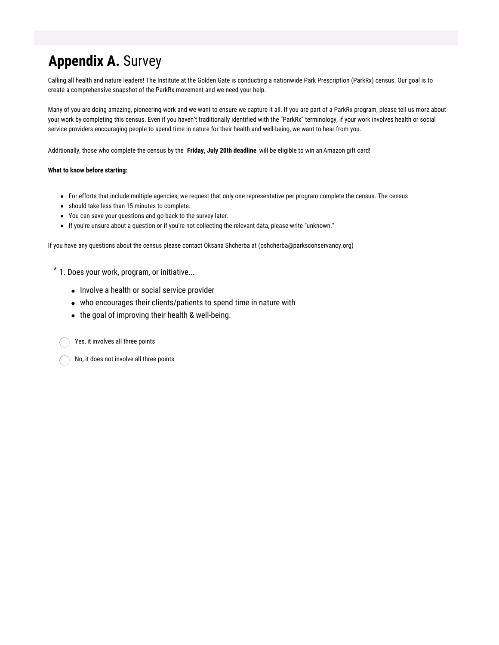# **Appendix A.** Survey

Calling all health and nature leaders! The Institute at the Golden Gate is conducting a nationwide Park Prescription (ParkRx) census. Our goal is to create a comprehensive snapshot of the ParkRx movement and we need your help.

Many of you are doing amazing, pioneering work and we want to ensure we capture it all. If you are part of a ParkRx program, please tell us more about your work by completing this census. Even if you haven't traditionally identified with the "ParkRx" terminology, if your work involves health or social service providers encouraging people to spend time in nature for their health and well-being, we want to hear from you.

Additionally, those who complete the census by the **Friday, July 20th deadline** will be eligible to win an Amazon gift card!

#### **What to know before starting:**

- For efforts that include multiple agencies, we request that only one representative per program complete the census. The census
- should take less than 15 minutes to complete.
- You can save your questions and go back to the survey later.
- If you're unsure about a question or if you're not collecting the relevant data, please write "unknown."

If you have any questions about the census please contact Oksana Shcherba at (oshcherba@parksconservancy.org)

 $*$  1. Does your work, program, or initiative...

- Involve a health or social service provider
- who encourages their clients/patients to spend time in nature with
- the goal of improving their health & well-being.

Yes, it involves all three points

No, it does not involve all three points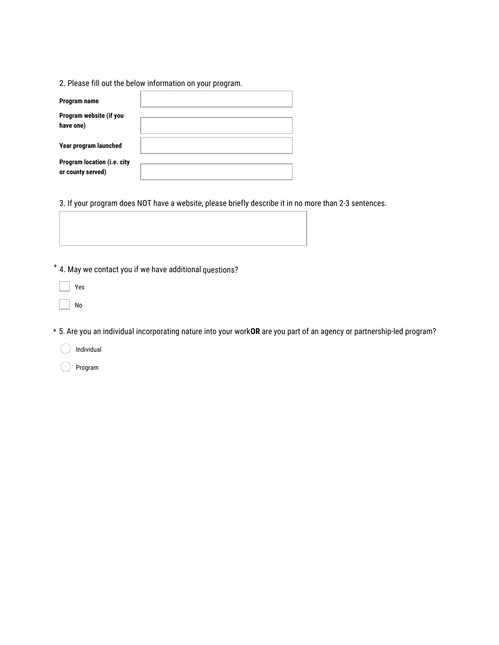2. Please fill out the below information on your program.

| Program name                                     |  |
|--------------------------------------------------|--|
| Program website (if you<br>have one)             |  |
| Year program launched                            |  |
| Program location (i.e. city<br>or county served) |  |

3. If your program does NOT have a website, please briefly describe it in no more than 2-3 sentences.

4. May we contact you if we have additional questions? \*

Yes

No

\* 5. Are you an individual incorporating nature into your work **OR** are you part of an agency or partnership-led program?

Individual

Program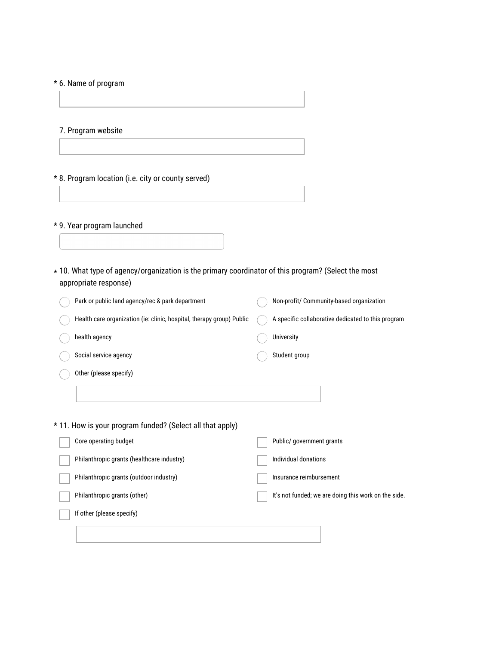### \* 6. Name of program

7. Program website

\* 8. Program location (i.e. city or county served)

### \* 9. Year program launched

 $\star$  10. What type of agency/organization is the primary coordinator of this program? (Select the most appropriate response)

| Park or public land agency/rec & park department                      | Non-profit/ Community-based organization             |
|-----------------------------------------------------------------------|------------------------------------------------------|
| Health care organization (ie: clinic, hospital, therapy group) Public | A specific collaborative dedicated to this program   |
| health agency                                                         | University                                           |
| Social service agency                                                 | Student group                                        |
| Other (please specify)                                                |                                                      |
|                                                                       |                                                      |
| * 11. How is your program funded? (Select all that apply)             |                                                      |
| Core operating budget                                                 | Public/ government grants                            |
| Philanthropic grants (healthcare industry)                            | Individual donations                                 |
| Philanthropic grants (outdoor industry)                               | Insurance reimbursement                              |
| Philanthropic grants (other)                                          | It's not funded; we are doing this work on the side. |
| If other (please specify)                                             |                                                      |
|                                                                       |                                                      |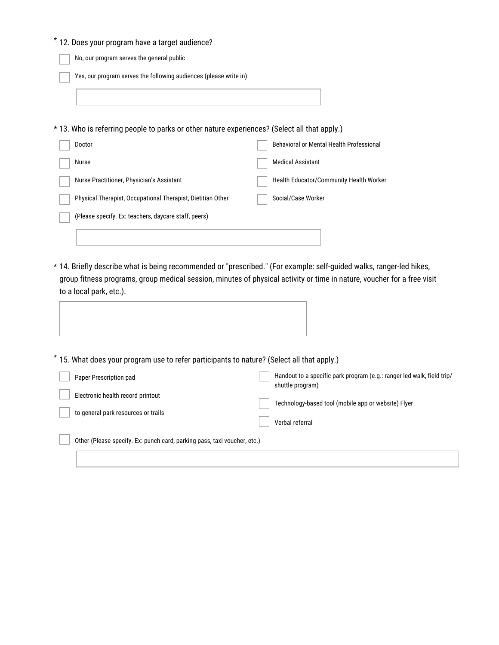| * 12. Does your program have a target audience?                                                                                                 |                                                                                                                         |
|-------------------------------------------------------------------------------------------------------------------------------------------------|-------------------------------------------------------------------------------------------------------------------------|
| No, our program serves the general public                                                                                                       |                                                                                                                         |
| Yes, our program serves the following audiences (please write in):                                                                              |                                                                                                                         |
|                                                                                                                                                 |                                                                                                                         |
| * 13. Who is referring people to parks or other nature experiences? (Select all that apply.)                                                    |                                                                                                                         |
| Doctor                                                                                                                                          | Behavioral or Mental Health Professional                                                                                |
| Nurse                                                                                                                                           | <b>Medical Assistant</b>                                                                                                |
| Nurse Practitioner, Physician's Assistant                                                                                                       | Health Educator/Community Health Worker                                                                                 |
| Physical Therapist, Occupational Therapist, Dietitian Other                                                                                     | Social/Case Worker                                                                                                      |
| (Please specify. Ex: teachers, daycare staff, peers)                                                                                            |                                                                                                                         |
|                                                                                                                                                 |                                                                                                                         |
| * 14. Briefly describe what is being recommended or "prescribed." (For example: self-guided walks, ranger-led hikes,<br>to a local park, etc.). | group fitness programs, group medical session, minutes of physical activity or time in nature, voucher for a free visit |
| * 15. What does your program use to refer participants to nature? (Select all that apply.)                                                      |                                                                                                                         |
| Paper Prescription pad                                                                                                                          | Handout to a specific park program (e.g.: ranger led walk, field trip/<br>shuttle program)                              |
| Electronic health record printout                                                                                                               | Technology-based tool (mobile app or website) Flyer                                                                     |
| to general park resources or trails                                                                                                             | Verbal referral                                                                                                         |
| Other (Please specify. Ex: punch card, parking pass, taxi voucher, etc.)                                                                        |                                                                                                                         |
|                                                                                                                                                 |                                                                                                                         |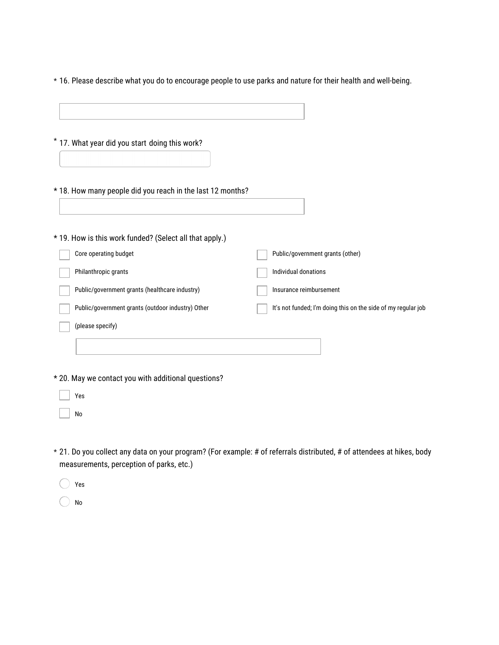\* 16. Please describe what you do to encourage people to use parks and nature for their health and well-being.

| * 17. What year did you start doing this work?             |                                                                    |
|------------------------------------------------------------|--------------------------------------------------------------------|
| * 18. How many people did you reach in the last 12 months? |                                                                    |
| * 19. How is this work funded? (Select all that apply.)    |                                                                    |
| Core operating budget                                      | Public/government grants (other)                                   |
| Philanthropic grants                                       | Individual donations                                               |
| Public/government grants (healthcare industry)             | Insurance reimbursement                                            |
| Public/government grants (outdoor industry) Other          | It's not funded; I'm doing this on the side of my regular job      |
| (please specify)                                           |                                                                    |
|                                                            |                                                                    |
| * 20. May we contact you with additional questions?        |                                                                    |
| Yes                                                        |                                                                    |
| No                                                         |                                                                    |
|                                                            |                                                                    |
| n <i>I</i> r                                               | الراجعان والمعتالين والمستوفون فيمتلك ومرامر<br>مناثقا فمرضوط مسما |

21. Do you collect any data on your program? (For example: # of referrals distributed, # of attendees at hikes, body \* measurements, perception of parks, etc.)

 $\bigcirc$ Yes

 $\bigcirc$ No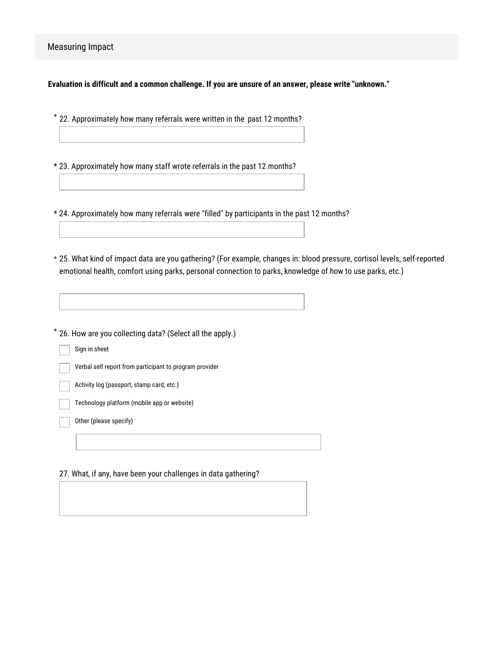**Evaluation is difficult and a common challenge. If you are unsure of an answer, please write "unknown."**

22. Approximately how many referrals were written in the past 12 months? \*

\* 23. Approximately how many staff wrote referrals in the past 12 months?

\* 24. Approximately how many referrals were "filled" by participants in the past 12 months?

25. What kind of impact data are you gathering? (For example, changes in: blood pressure, cortisol levels, self-reported \* emotional health, comfort using parks, personal connection to parks, knowledge of how to use parks, etc.)

26. How are you collecting data? (Select all the apply.) \*

Sign in sheet

Verbal self report from participant to program provider

Activity log (passport, stamp card, etc.)

Technology platform (mobile app or website)

Other (please specify)

27. What, if any, have been your challenges in data gathering?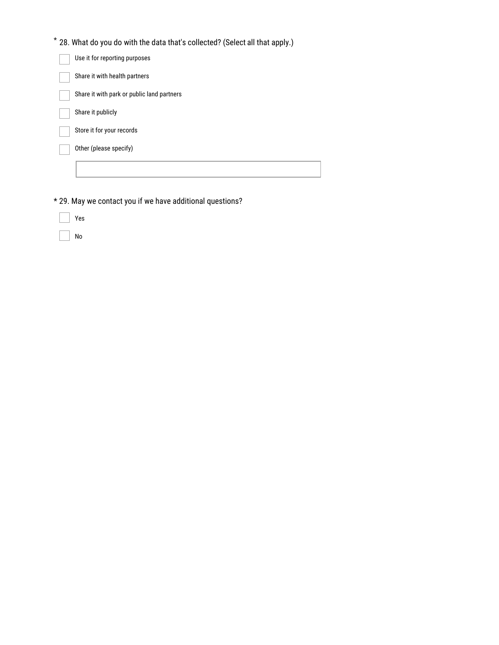| $^{\star}$ 28. What do you do with the data that's collected? (Select all that apply.) |
|----------------------------------------------------------------------------------------|
| Use it for reporting purposes                                                          |
| Share it with health partners                                                          |
| Share it with park or public land partners                                             |
| Share it publicly                                                                      |
| Store it for your records                                                              |
| Other (please specify)                                                                 |
|                                                                                        |

T

\* 29. May we contact you if we have additional questions?

|  | ×<br>۰,<br>× |
|--|--------------|
|--|--------------|

No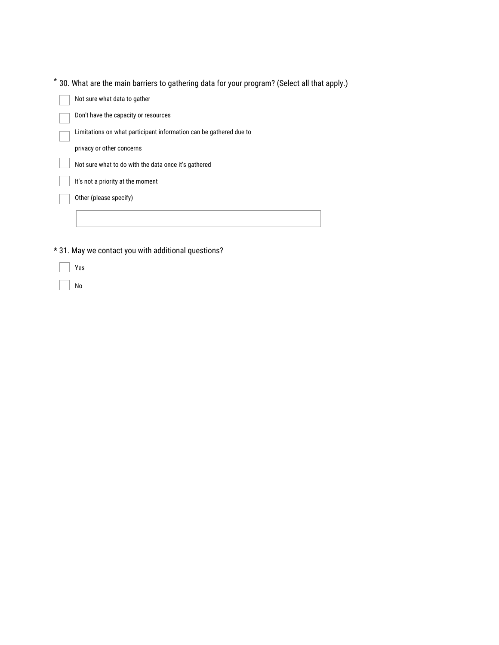30. What are the main barriers to gathering data for your program? (Select all that apply.) \*

| Not sure what data to gather                                       |
|--------------------------------------------------------------------|
| Don't have the capacity or resources                               |
| Limitations on what participant information can be gathered due to |
| privacy or other concerns                                          |
| Not sure what to do with the data once it's gathered               |
| It's not a priority at the moment                                  |
| Other (please specify)                                             |
|                                                                    |

\* 31. May we contact you with additional questions?

Yes

 $\overline{\phantom{a}}$  No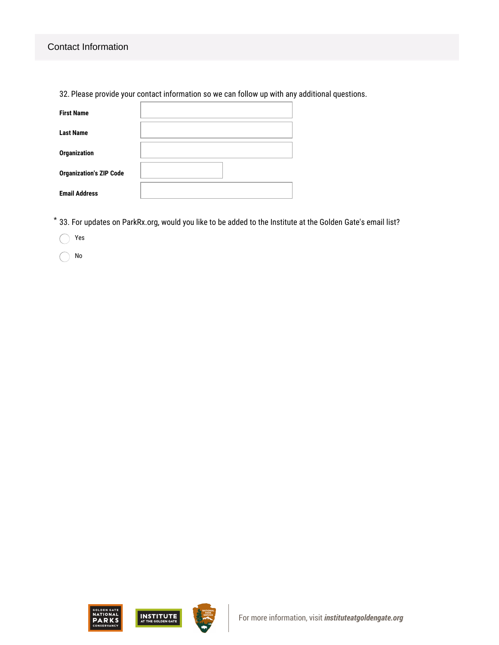### Contact Information

32. Please provide your contact information so we can follow up with any additional questions.

| <b>First Name</b>              |  |
|--------------------------------|--|
| <b>Last Name</b>               |  |
| <b>Organization</b>            |  |
| <b>Organization's ZIP Code</b> |  |
| <b>Email Address</b>           |  |

33. For updates on ParkRx.org, would you like to be added to the Institute at the Golden Gate's email list? \*

Yes  $\left(\begin{array}{c} \end{array}\right)$ 

No